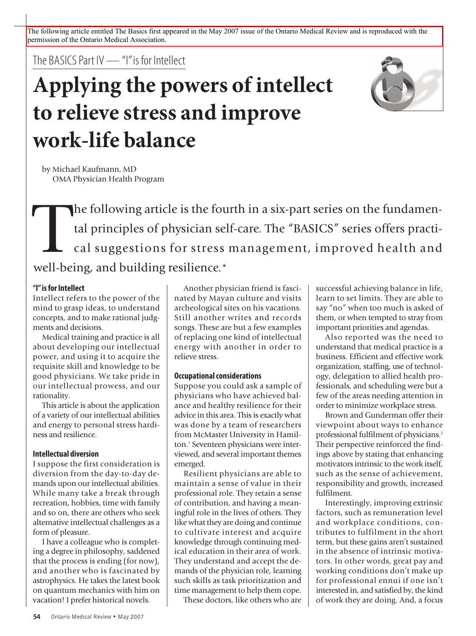The following article entitled The Basics first appeared in the May 2007 issue of the Ontario Medical Review and is reproduced with the permission of the Ontario Medical Association.

The BASICS Part IV — "I" is for Intellect

# **Applying the powers of intellect to relieve stress and improve work-life balance**



by Michael Kaufmann, MD OMA Physician Health Program

The following article is the fourth in a six-part series on the fundamental principles of physician self-care. The "BASICS" series offers practical suggestions for stress management, improved health and well being and buil tal principles of physician self-care. The "BASICS" series offers practical suggestions for stress management, improved health and well-being, and building resilience.\*

# **"I"isforIntellect**

Intellect refers to the power of the mind to grasp ideas, to understand concepts, and to make rational judgments and decisions.

Medical training and practice is all about developing our intellectual power, and using it to acquire the requisite skill and knowledge to be good physicians. We take pride in our intellectual prowess, and our rationality.

This article is about the application of a variety of our intellectual abilities and energy to personal stress hardiness and resilience.

# **Intellectual diversion**

I suppose the first consideration is diversion from the day-to-day demands upon our intellectual abilities. While many take a break through recreation, hobbies, time with family and so on, there are others who seek alternative intellectual challenges as a form of pleasure.

I have a colleague who is completing a degree in philosophy, saddened that the process is ending (for now), and another who is fascinated by astrophysics. He takes the latest book on quantum mechanics with him on vacation! I prefer historical novels.

Another physician friend is fascinated by Mayan culture and visits archeological sites on his vacations. Still another writes and records songs. These are but a few examples of replacing one kind of intellectual energy with another in order to relieve stress.

# **Occupational considerations**

Suppose you could ask a sample of physicians who have achieved balance and healthy resilience for their advice in this area. This is exactly what was done by a team of researchers from McMaster University in Hamilton. <sup>1</sup> Seventeen physicians were interviewed, and several important themes emerged.

Resilient physicians are able to maintain a sense of value in their professional role. They retain a sense of contribution, and having a meaningful role in the lives of others. They like what they are doing and continue to cultivate interest and acquire knowledge through continuing medical education in their area of work. They understand and accept the demands of the physician role, learning such skills as task prioritization and time management to help them cope.

These doctors, like others who are

successful achieving balance in life, learn to set limits. They are able to say "no" when too much is asked of them, or when tempted to stray from important priorities and agendas.

Also reported was the need to understand that medical practice is a business. Efficient and effective work organization, staffing, use of technology, delegation to allied health professionals, and scheduling were but a few of the areas needing attention in order to minimize workplace stress.

Brown and Gunderman offer their viewpoint about ways to enhance professional fulfilment of physicians. 2 Their perspective reinforced the findings above by stating that enhancing motivators intrinsic to the work itself, such as the sense of achievement, responsibility and growth, increased fulfilment.

Interestingly, improving extrinsic factors, such as remuneration level and workplace conditions, contributes to fulfilment in the short term, but these gains aren't sustained in the absence of intrinsic motivators. In other words, great pay and working conditions don't make up for professional ennui if one isn't interested in, and satisfied by, the kind of work they are doing. And, a focus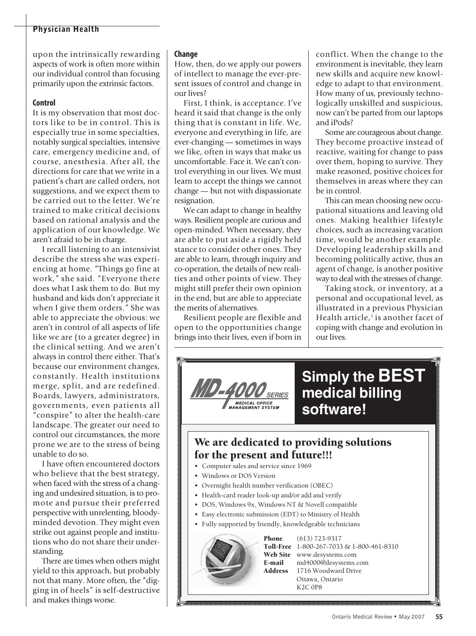# **Physician Health**

upon the intrinsically rewarding aspects of work is often more within our individual control than focusing primarily upon the extrinsic factors.

#### **Control**

It is my observation that most doctors like to be in control. This is especially true in some specialties, notably surgical specialties, intensive care, emergency medicine and, of course, anesthesia. After all, the directions for care that we write in a patient's chart are called orders, not suggestions, and we expect them to be carried out to the letter. We're trained to make critical decisions based on rational analysis and the application of our knowledge. We aren't afraid to be in charge.

I recall listening to an intensivist describe the stress she was experiencing at home. "Things go fine at work," she said. "Everyone there does what I ask them to do. But my husband and kids don't appreciate it when I give them orders." She was able to appreciate the obvious: we aren't in control of all aspects of life like we are (to a greater degree) in the clinical setting. And we aren't always in control there either. That's because our environment changes, constantly. Health institutions merge, split, and are redefined. Boards, lawyers, administrators, governments, even patients all "conspire" to alter the health-care landscape. The greater our need to control our circumstances, the more prone we are to the stress of being unable to do so.

I have often encountered doctors who believe that the best strategy, when faced with the stress of a changing and undesired situation, is to promote and pursue their preferred perspective with unrelenting, bloodyminded devotion. They might even strike out against people and institutions who do not share their understanding.

There are times when others might yield to this approach, but probably not that many. More often, the "digging in of heels" is self-destructive and makes things worse.

#### **Change**

How, then, do we apply our powers of intellect to manage the ever-present issues of control and change in our lives?

First, I think, is acceptance. I've heard it said that change is the only thing that is constant in life. We, everyone and everything in life, are ever-changing — sometimes in ways we like, often in ways that make us uncomfortable. Face it. We can't control everything in our lives. We must learn to accept the things we cannot change — but not with dispassionate resignation.

We can adapt to change in healthy ways. Resilient people are curious and open-minded. When necessary, they are able to put aside a rigidly held stance to consider other ones. They are able to learn, through inquiry and co-operation, the details of new realities and other points of view. They might still prefer their own opinion in the end, but are able to appreciate the merits of alternatives.

Resilient people are flexible and open to the opportunities change brings into their lives, even if born in conflict. When the change to the environment is inevitable, they learn new skills and acquire new knowledge to adapt to that environment. How many of us, previously technologically unskilled and suspicious, now can't be parted from our laptops and iPods?

Some are courageous about change. They become proactive instead of reactive, waiting for change to pass over them, hoping to survive. They make reasoned, positive choices for themselves in areas where they can be in control.

This can mean choosing new occupational situations and leaving old ones. Making healthier lifestyle choices, such as increasing vacation time, would be another example. Developing leadership skills and becoming politically active, thus an agent of change, is another positive way to deal with the stresses of change.

Taking stock, or inventory, at a personal and occupational level, as illustrated in a previous Physician Health article, <sup>3</sup> is another facet of coping with change and evolution in our lives.



K2C 0P8